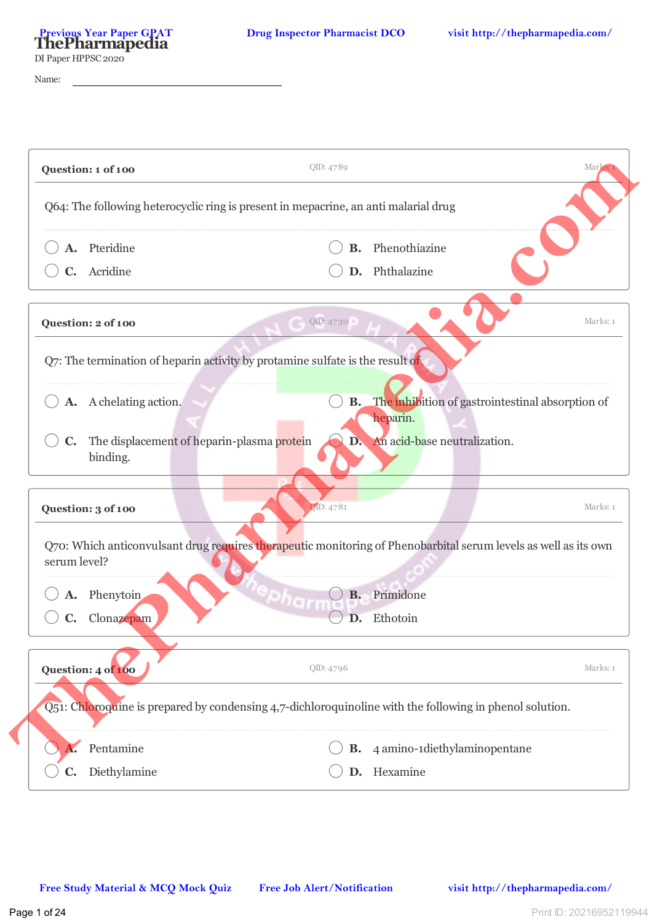DI Paper HPPSC 2020

Name:

| Pteridine<br>C. Acridine                                                                                                        |           | <b>B.</b> Phenothiazine<br>D. Phthalazine                              |          |
|---------------------------------------------------------------------------------------------------------------------------------|-----------|------------------------------------------------------------------------|----------|
|                                                                                                                                 |           |                                                                        |          |
| Question: 2 of 100                                                                                                              | QID: 4730 |                                                                        | Marks: 1 |
| Q7: The termination of heparin activity by protamine sulfate is the result of                                                   |           |                                                                        |          |
| A. A chelating action.                                                                                                          |           | <b>B.</b> The inhibition of gastrointestinal absorption of<br>heparin. |          |
| The displacement of heparin-plasma protein<br>$\mathbf{C}$ .<br>binding.                                                        |           | D. An acid-base neutralization.                                        |          |
| Question: 3 of 100                                                                                                              | QID: 4781 |                                                                        | Marks: 1 |
| Q70: Which anticonvulsant drug requires therapeutic monitoring of Phenobarbital serum levels as well as its own<br>serum level? |           |                                                                        |          |
| Phenytoin                                                                                                                       | <b>B.</b> | Primidone                                                              |          |
| Clonazepam                                                                                                                      |           | Ethotoin                                                               |          |
| Question: 4 of 100                                                                                                              | QID: 4796 |                                                                        | Marks: 1 |
| Q51: Chloroquine is prepared by condensing 4,7-dichloroquinoline with the following in phenol solution.                         |           |                                                                        |          |
| Pentamine                                                                                                                       | В.        | 4 amino-1diethylaminopentane                                           |          |
| Diethylamine<br>C.                                                                                                              |           | D. Hexamine                                                            |          |
|                                                                                                                                 |           |                                                                        |          |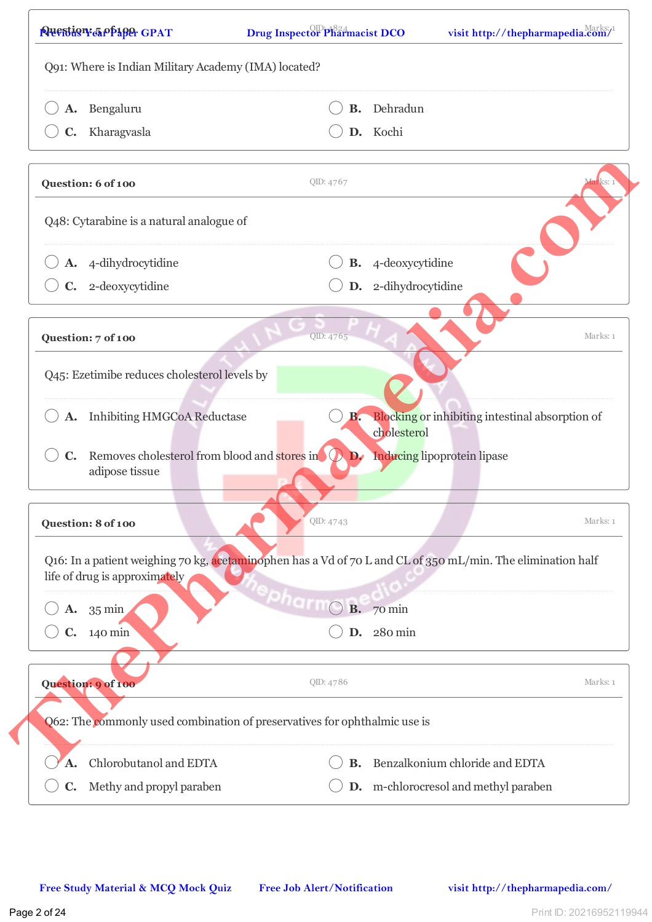| Bengaluru                                                                                                                                    | В.            | Dehradun                                        |          |
|----------------------------------------------------------------------------------------------------------------------------------------------|---------------|-------------------------------------------------|----------|
| Kharagvasla<br>C.                                                                                                                            |               | D. Kochi                                        |          |
| Question: 6 of 100                                                                                                                           | QID: 4767     |                                                 | larks: : |
| Q48: Cytarabine is a natural analogue of                                                                                                     |               |                                                 |          |
| A. 4-dihydrocytidine                                                                                                                         |               | <b>B.</b> 4-deoxycytidine                       |          |
| C. 2-deoxycytidine                                                                                                                           |               | D. 2-dihydrocytidine                            |          |
| Question: 7 of 100                                                                                                                           | QID: 4765     |                                                 | Marks: 1 |
| Q45: Ezetimibe reduces cholesterol levels by                                                                                                 |               |                                                 |          |
| A. Inhibiting HMGCoA Reductase                                                                                                               | В.            | Blocking or inhibiting intestinal absorption of |          |
| Removes cholesterol from blood and stores in<br>$\mathbf{C}$ .<br>adipose tissue                                                             | $\mathbf{D}$  | cholesterol<br>Inducing lipoprotein lipase      |          |
| Question: 8 of 100                                                                                                                           | QID: 4743     |                                                 | Marks: 1 |
| Q16: In a patient weighing 70 kg, acetaminophen has a Vd of 70 L and CL of 350 mL/min. The elimination half<br>life of drug is approximately |               |                                                 |          |
| $\mathbf{A.} \quad 35 \text{ min}$                                                                                                           | <b>PharmO</b> | <b>B.</b> 70 min                                |          |
| $C. 140$ min                                                                                                                                 |               | D. 280 min                                      |          |
|                                                                                                                                              |               |                                                 | Marks: 1 |
|                                                                                                                                              | QID: 4786     |                                                 |          |
| Q62: The commonly used combination of preservatives for ophthalmic use is                                                                    |               |                                                 |          |
| Question: 9 of 100<br>Chlorobutanol and EDTA<br>A.                                                                                           | <b>B.</b>     | Benzalkonium chloride and EDTA                  |          |

 $\sqrt{ }$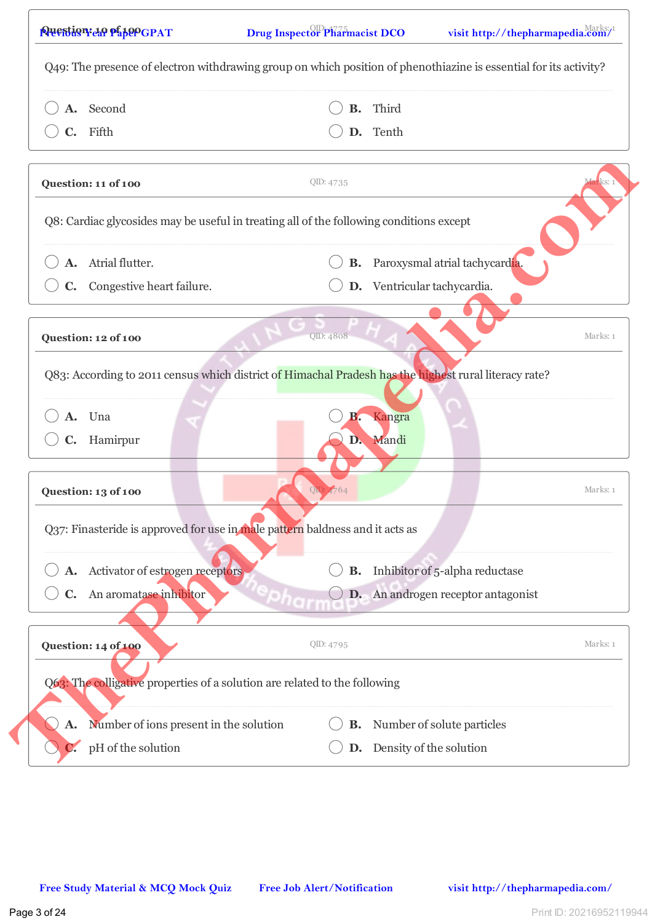| A. Second                                                                                             |           | <b>B.</b> Third                           |
|-------------------------------------------------------------------------------------------------------|-----------|-------------------------------------------|
| C. Fifth                                                                                              |           | D. Tenth                                  |
|                                                                                                       |           |                                           |
| Question: 11 of 100                                                                                   | QID: 4735 | darks: 1                                  |
| Q8: Cardiac glycosides may be useful in treating all of the following conditions except               |           |                                           |
| A. Atrial flutter.                                                                                    |           | <b>B.</b> Paroxysmal atrial tachycardia.  |
| Congestive heart failure.<br>$\mathbf{C}$ .                                                           |           | D. Ventricular tachycardia.               |
| Question: 12 of 100                                                                                   | QID: 4808 | Marks: 1                                  |
|                                                                                                       |           |                                           |
| Q83: According to 2011 census which district of Himachal Pradesh has the highest rural literacy rate? |           |                                           |
| A. Una                                                                                                | В.        | Kangra                                    |
| C. Hamirpur                                                                                           |           | D. Mandi                                  |
|                                                                                                       |           |                                           |
| Question: 13 of 100                                                                                   | QD: 4764  | Marks: 1                                  |
| Q37: Finasteride is approved for use in male pattern baldness and it acts as                          |           |                                           |
| A. Activator of estrogen receptors                                                                    | <b>B.</b> | Inhibitor of 5-alpha reductase            |
| An aromatase inhibitor<br>$\mathbf{C}$ .                                                              |           | <b>D.</b> An androgen receptor antagonist |
| Question: 14 of 100                                                                                   | QID: 4795 | Marks: 1                                  |
| Q63: The colligative properties of a solution are related to the following                            |           |                                           |
| Number of ions present in the solution<br>A.                                                          | В.        | Number of solute particles                |
| pH of the solution                                                                                    |           | D. Density of the solution                |
|                                                                                                       |           |                                           |
|                                                                                                       |           |                                           |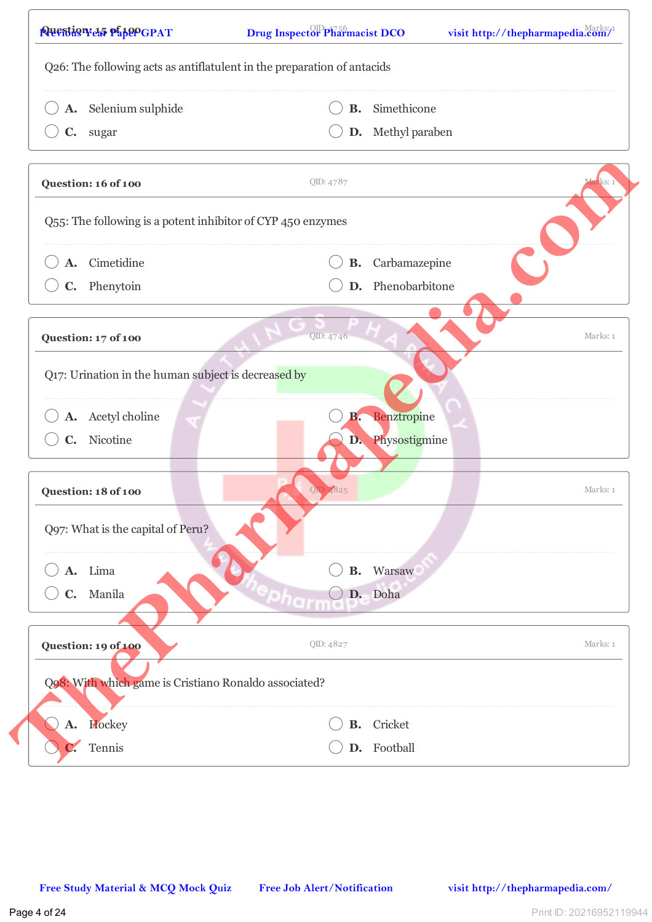| A. Selenium sulphide                                        | В.        | Simethicone             |          |
|-------------------------------------------------------------|-----------|-------------------------|----------|
| C. sugar                                                    |           | D. Methyl paraben       |          |
|                                                             |           |                         |          |
| Question: 16 of 100                                         | QID: 4787 |                         | Marks: 1 |
| Q55: The following is a potent inhibitor of CYP 450 enzymes |           |                         |          |
| A. Cimetidine                                               |           | <b>B.</b> Carbamazepine |          |
| C. Phenytoin                                                |           | D. Phenobarbitone       |          |
| Question: 17 of 100                                         | QID: 4746 |                         | Marks: 1 |
|                                                             |           |                         |          |
| Q17: Urination in the human subject is decreased by         |           |                         |          |
| A. Acetyl choline                                           | B.        | Benztropine             |          |
| C. Nicotine                                                 |           | D. Physostigmine        |          |
|                                                             |           |                         |          |
| Question: 18 of 100                                         | OID:      |                         | Marks: 1 |
| Q97: What is the capital of Peru?                           |           |                         |          |
| Lima<br>A.                                                  | <b>B.</b> | Warsaw                  |          |
| Manila<br>C.                                                |           | D. Doha                 |          |
| Question: 19 of 100                                         | QID: 4827 |                         | Marks: 1 |
| Q98: With which game is Cristiano Ronaldo associated?       |           |                         |          |
|                                                             |           |                         |          |
| Hockey<br><b>A.</b>                                         | <b>B.</b> | Cricket                 |          |
| Tennis                                                      |           | D. Football             |          |
|                                                             |           |                         |          |
|                                                             |           |                         |          |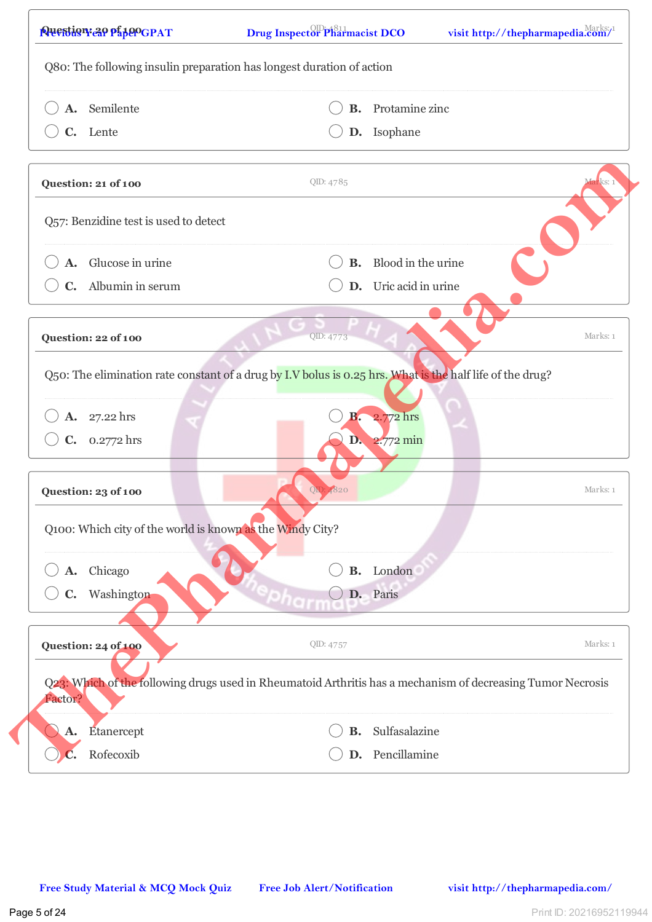| A. Semilente                                                                                                           | В.        | Protamine zinc               |                        |
|------------------------------------------------------------------------------------------------------------------------|-----------|------------------------------|------------------------|
| C. Lente                                                                                                               |           | D. Isophane                  |                        |
| Question: 21 of 100                                                                                                    | QID: 4785 |                              | <mark>far</mark> ks: 1 |
| Q57: Benzidine test is used to detect                                                                                  |           |                              |                        |
| A. Glucose in urine                                                                                                    |           | <b>B.</b> Blood in the urine |                        |
| C. Albumin in serum                                                                                                    |           | D. Uric acid in urine        |                        |
| Question: 22 of 100                                                                                                    | QID: 4773 |                              | Marks: 1               |
| Q50: The elimination rate constant of a drug by I.V bolus is 0.25 hrs. What is the half life of the drug?              |           |                              |                        |
| A. 27.22 hrs                                                                                                           | В.        | 2.772 hrs                    |                        |
| $C. 0.2772$ hrs                                                                                                        |           | $D. 2.772$ min               |                        |
| Question: 23 of 100                                                                                                    | OID:      |                              | Marks: 1               |
| Q100: Which city of the world is known as the Windy City?                                                              |           |                              |                        |
| Chicago<br>A.                                                                                                          | <b>B.</b> | London                       |                        |
| Washington<br>$\mathbf{C}$ .                                                                                           |           | D. Paris                     |                        |
| Question: 24 of 100                                                                                                    | QID: 4757 |                              | Marks: 1               |
| Q23: Which of the following drugs used in Rheumatoid Arthritis has a mechanism of decreasing Tumor Necrosis<br>Factor? |           |                              |                        |
| Etanercept<br>$\mathbf{A}$ .                                                                                           | <b>B.</b> | Sulfasalazine                |                        |
| Rofecoxib                                                                                                              | D.        | Pencillamine                 |                        |
|                                                                                                                        |           |                              |                        |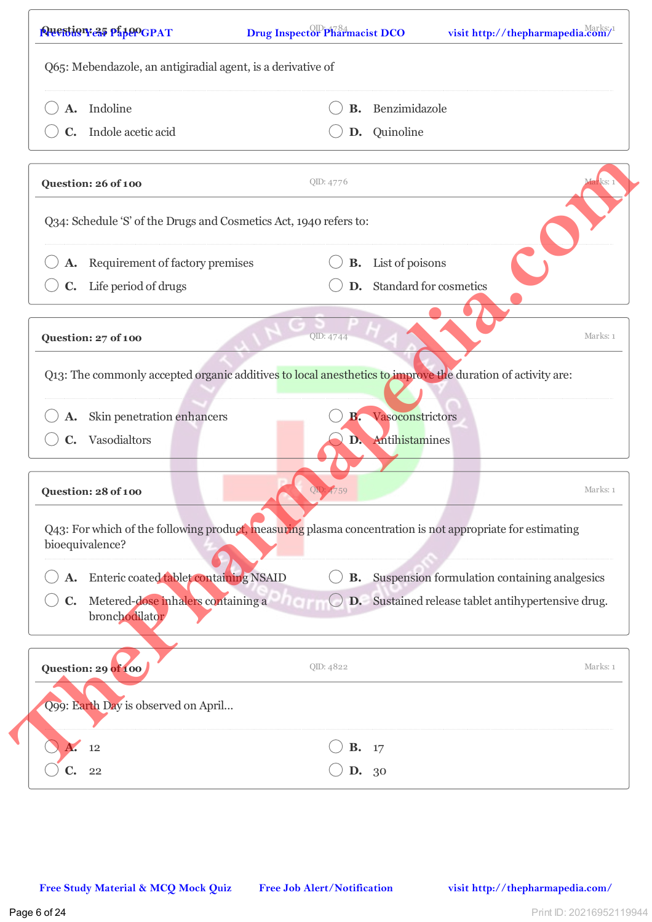| A. Indoline                                                                                                                  |                        | Benzimidazole                                          |
|------------------------------------------------------------------------------------------------------------------------------|------------------------|--------------------------------------------------------|
|                                                                                                                              | В.                     |                                                        |
| C. Indole acetic acid                                                                                                        |                        | D. Quinoline                                           |
| Question: 26 of 100                                                                                                          | QID: 4776              | arks:                                                  |
| Q34: Schedule 'S' of the Drugs and Cosmetics Act, 1940 refers to:                                                            |                        |                                                        |
| A. Requirement of factory premises                                                                                           |                        | <b>B.</b> List of poisons                              |
| Life period of drugs                                                                                                         | D.                     | Standard for cosmetics                                 |
| Question: 27 of 100                                                                                                          | QID: 4744              | Marks: 1                                               |
|                                                                                                                              |                        |                                                        |
| Q13: The commonly accepted organic additives to local anesthetics to improve the duration of activity are:                   |                        |                                                        |
| Skin penetration enhancers                                                                                                   | В.                     | Vasoconstrictors                                       |
| Vasodialtors                                                                                                                 |                        | D. Antihistamines                                      |
|                                                                                                                              |                        |                                                        |
| Question: 28 of 100                                                                                                          | $\overline{\text{ON}}$ | Marks: 1                                               |
| Q43: For which of the following product, measuring plasma concentration is not appropriate for estimating<br>bioequivalence? |                        |                                                        |
| A. Enteric coated tablet containing NSAID                                                                                    |                        | <b>B.</b> Suspension formulation containing analgesics |
| Metered-dose inhalers containing a<br>$\mathbf{C}$ .<br>bronchodilator                                                       |                        | D. Sustained release tablet antihypertensive drug.     |
| Question: 29 of 100                                                                                                          | QID: 4822              | Marks: 1                                               |
| Q99: Earth Day is observed on April                                                                                          |                        |                                                        |
| 12                                                                                                                           | В.                     | 17                                                     |
| 22                                                                                                                           | D.                     | 30                                                     |
|                                                                                                                              |                        |                                                        |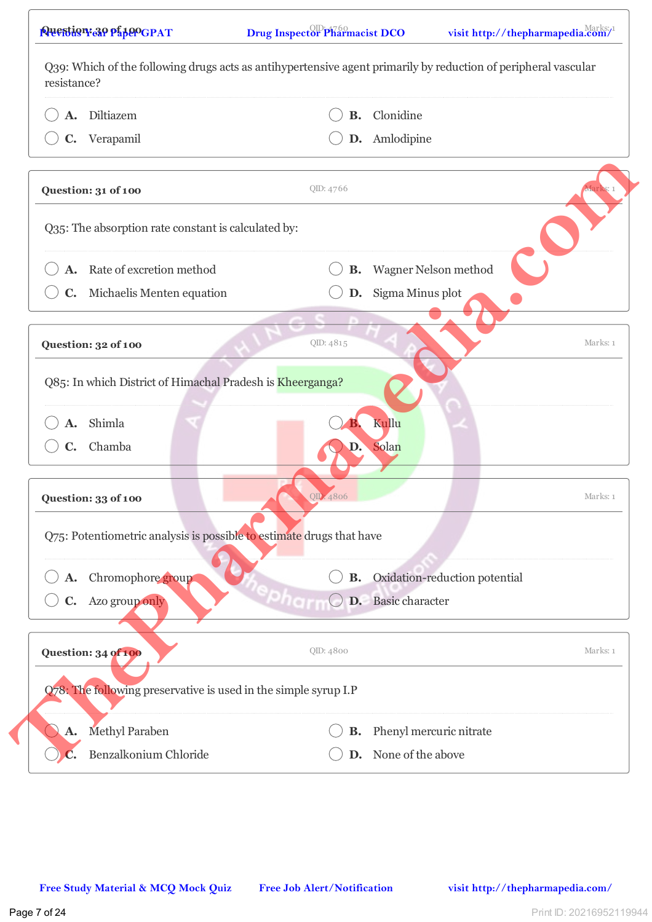| Diltiazem<br>А.                                                      | <b>B.</b> | Clonidine                     |          |
|----------------------------------------------------------------------|-----------|-------------------------------|----------|
| C. Verapamil                                                         |           | D. Amlodipine                 |          |
| Question: 31 of 100                                                  | QID: 4766 |                               |          |
| Q35: The absorption rate constant is calculated by:                  |           |                               |          |
| Rate of excretion method<br>А.                                       | В.        | Wagner Nelson method          |          |
| C. Michaelis Menten equation                                         | D.        | Sigma Minus plot              |          |
| Question: 32 of 100                                                  | QID: 4815 |                               | Marks: 1 |
| Q85: In which District of Himachal Pradesh is Kheerganga?            |           |                               |          |
| Shimla<br>A.                                                         |           | Kullu                         |          |
| C. Chamba                                                            | D.        | Solan                         |          |
| Question: 33 of 100                                                  | OID: 4806 |                               | Marks: 1 |
| Q75: Potentiometric analysis is possible to estimate drugs that have |           |                               |          |
| A. Chromophore group                                                 | В.        | Oxidation-reduction potential |          |
| C. Azo group only                                                    |           | D. Basic character            |          |
| Question: 34 of 100                                                  | QID: 4800 |                               | Marks: 1 |
| Q78: The following preservative is used in the simple syrup I.P      |           |                               |          |
| <b>Methyl Paraben</b><br>А.                                          | В.        | Phenyl mercuric nitrate       |          |
| Benzalkonium Chloride                                                |           | D. None of the above          |          |
|                                                                      |           |                               |          |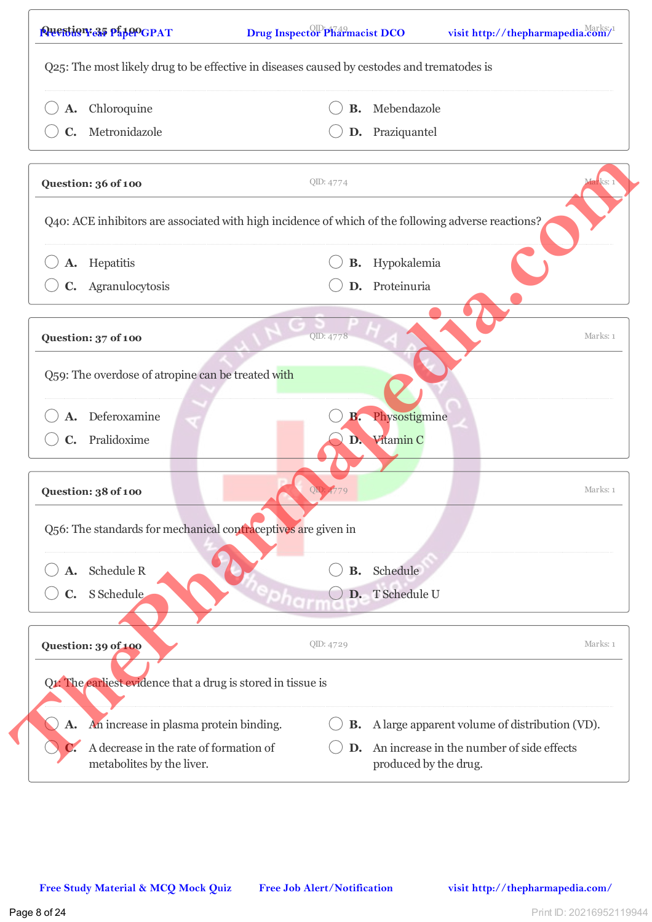| A. Chloroquine                                                                                      | В.        | Mebendazole                                                        |           |
|-----------------------------------------------------------------------------------------------------|-----------|--------------------------------------------------------------------|-----------|
| Metronidazole<br>$\mathbf{C}$ .                                                                     | D.        | Praziquantel                                                       |           |
| Question: 36 of 100                                                                                 | QID: 4774 |                                                                    | viarks: 1 |
| Q40: ACE inhibitors are associated with high incidence of which of the following adverse reactions? |           |                                                                    |           |
| Hepatitis<br>A.                                                                                     | В.        | Hypokalemia                                                        |           |
| C. Agranulocytosis                                                                                  | D.        | Proteinuria                                                        |           |
| Question: 37 of 100                                                                                 | QID: 4778 |                                                                    | Marks: 1  |
| Q59: The overdose of atropine can be treated with                                                   |           |                                                                    |           |
| Deferoxamine                                                                                        | В.        | Physostigmine                                                      |           |
| C. Pralidoxime                                                                                      |           | D. Vitamin C                                                       |           |
| Question: 38 of 100                                                                                 |           |                                                                    | Marks: 1  |
| Q56: The standards for mechanical contraceptives are given in                                       |           |                                                                    |           |
| Schedule R                                                                                          | В.        | Schedule                                                           |           |
| S Schedule                                                                                          | D.        | T Schedule U                                                       |           |
| Question: 39 of 100                                                                                 | QID: 4729 |                                                                    | Marks: 1  |
| Q1: The earliest evidence that a drug is stored in tissue is                                        |           |                                                                    |           |
| An increase in plasma protein binding.<br><b>A.</b>                                                 |           | <b>B.</b> A large apparent volume of distribution (VD).            |           |
| A decrease in the rate of formation of<br>metabolites by the liver.                                 | D.        | An increase in the number of side effects<br>produced by the drug. |           |
|                                                                                                     |           |                                                                    |           |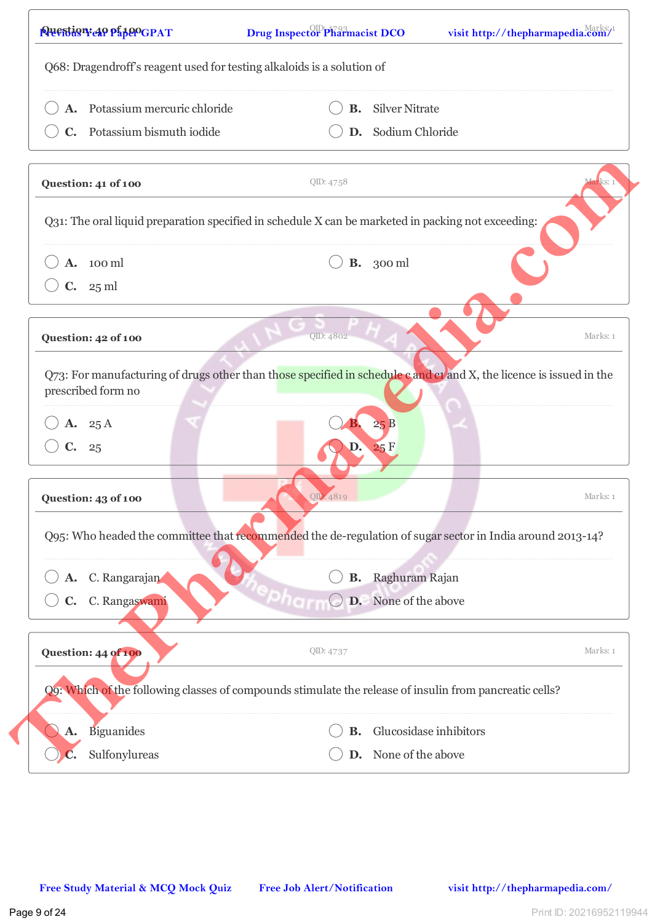| A. Potassium mercuric chloride                                                                                                            |                  | <b>B.</b> Silver Nitrate |                        |
|-------------------------------------------------------------------------------------------------------------------------------------------|------------------|--------------------------|------------------------|
| C. Potassium bismuth iodide                                                                                                               |                  | D. Sodium Chloride       |                        |
|                                                                                                                                           |                  |                          |                        |
| Question: 41 of 100                                                                                                                       | QID: 4758        |                          | <mark>far</mark> ks: 1 |
| Q31: The oral liquid preparation specified in schedule X can be marketed in packing not exceeding:                                        |                  |                          |                        |
| A. 100 ml                                                                                                                                 | <b>B.</b> 300 ml |                          |                        |
| C. 25 ml                                                                                                                                  |                  |                          |                        |
| Question: 42 of 100                                                                                                                       | QID: 4802        |                          | Marks: 1               |
| Q73: For manufacturing of drugs other than those specified in schedule c and c1 and X, the licence is issued in the<br>prescribed form no |                  |                          |                        |
| A. 25 A                                                                                                                                   | 25B              |                          |                        |
| C. 25                                                                                                                                     | 25F              |                          |                        |
| Question: 43 of 100                                                                                                                       | QID: 4819        |                          | Marks: 1               |
| Q95: Who headed the committee that recommended the de-regulation of sugar sector in India around 2013-14?                                 |                  |                          |                        |
| A. C. Rangarajan                                                                                                                          | В.               | Raghuram Rajan           |                        |
| C. Rangaswami<br>C.                                                                                                                       |                  | D. None of the above     |                        |
| Question: 44 of 100                                                                                                                       | QID: 4737        |                          | Marks: 1               |
| Q9: Which of the following classes of compounds stimulate the release of insulin from pancreatic cells?                                   |                  |                          |                        |
| Biguanides<br>A.                                                                                                                          | <b>B.</b>        | Glucosidase inhibitors   |                        |
| Sulfonylureas                                                                                                                             |                  | D. None of the above     |                        |
|                                                                                                                                           |                  |                          |                        |
|                                                                                                                                           |                  |                          |                        |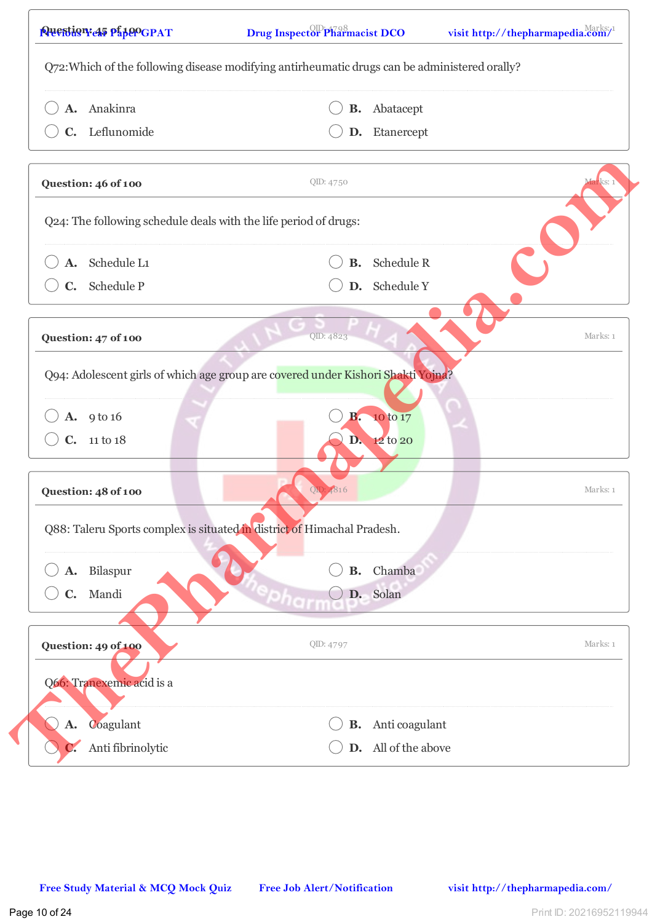| A. Anakinra                                                                      | В.        | Abatacept            |          |
|----------------------------------------------------------------------------------|-----------|----------------------|----------|
| C. Leflunomide                                                                   |           | D. Etanercept        |          |
| Question: 46 of 100                                                              | QID: 4750 |                      | iarks: 1 |
| Q24: The following schedule deals with the life period of drugs:                 |           |                      |          |
| A. Schedule L1                                                                   |           | <b>B.</b> Schedule R |          |
| C. Schedule P                                                                    |           | D. Schedule Y        |          |
| Question: 47 of 100                                                              | QID: 4823 |                      | Marks: 1 |
| Q94: Adolescent girls of which age group are covered under Kishori Shakti Yojna? |           |                      |          |
| A. 9 to 16                                                                       | <b>B.</b> | 10 to 17             |          |
| C. 11 to 18                                                                      |           | D. 12 to 20          |          |
| Question: 48 of 100                                                              | OD:       |                      | Marks: 1 |
| Q88: Taleru Sports complex is situated in district of Himachal Pradesh.          |           |                      |          |
| Bilaspur<br>A.                                                                   | <b>B.</b> | Chamba               |          |
| C. Mandi                                                                         |           | D. Solan             |          |
| Question: 49 of 100                                                              | QID: 4797 |                      | Marks: 1 |
| Q66: Tranexemic acid is a                                                        |           |                      |          |
| Coagulant<br><b>A.</b>                                                           | В.        | Anti coagulant       |          |
| Anti fibrinolytic                                                                |           | D. All of the above  |          |
|                                                                                  |           |                      |          |
|                                                                                  |           |                      |          |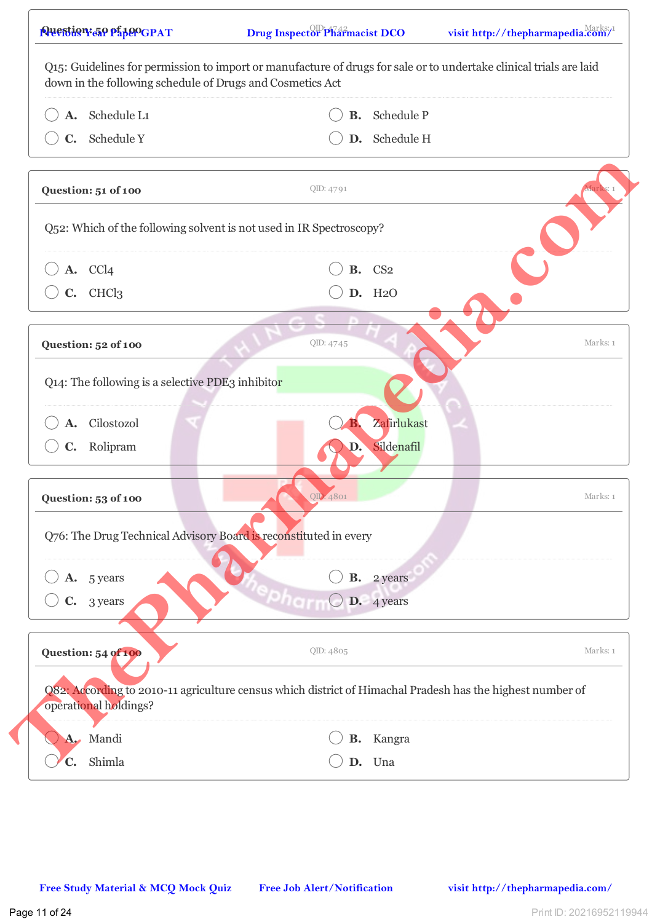| <b>Ausstion 50 pipeogpat</b><br>Q15: Guidelines for permission to import or manufacture of drugs for sale or to undertake clinical trials are laid | <b>Drug Inspector Pharmacist DCO</b> |                           | visit http://thepharmapedia.com/ |
|----------------------------------------------------------------------------------------------------------------------------------------------------|--------------------------------------|---------------------------|----------------------------------|
| down in the following schedule of Drugs and Cosmetics Act                                                                                          |                                      |                           |                                  |
| A. Schedule L1                                                                                                                                     |                                      | <b>B.</b> Schedule P      |                                  |
| C. Schedule Y                                                                                                                                      |                                      | D. Schedule H             |                                  |
| Question: 51 of 100                                                                                                                                | QID: 4791                            |                           |                                  |
| Q52: Which of the following solvent is not used in IR Spectroscopy?                                                                                |                                      |                           |                                  |
| A. CCl4                                                                                                                                            |                                      | <b>B.</b> CS <sub>2</sub> |                                  |
| C. CHCl3                                                                                                                                           |                                      | D. H <sub>2</sub> O       |                                  |
|                                                                                                                                                    |                                      |                           |                                  |
| Question: 52 of 100                                                                                                                                | QID: 4745                            |                           | Marks: 1                         |
| Q14: The following is a selective PDE3 inhibitor                                                                                                   |                                      |                           |                                  |
|                                                                                                                                                    |                                      |                           |                                  |
| Cilostozol                                                                                                                                         |                                      | Zafirlukast               |                                  |
| C. Rolipram                                                                                                                                        | D.                                   | Sildenafil                |                                  |
|                                                                                                                                                    |                                      |                           |                                  |
| Question: 53 of 100                                                                                                                                | QID: 4801                            |                           | Marks: 1                         |
| Q76: The Drug Technical Advisory Board is reconstituted in every                                                                                   |                                      |                           |                                  |
|                                                                                                                                                    |                                      |                           |                                  |
| A. 5 years                                                                                                                                         |                                      | <b>B.</b> 2 years         |                                  |
| $C.$ 3 years                                                                                                                                       |                                      | D. 4 years                |                                  |
|                                                                                                                                                    |                                      |                           |                                  |
| Question: 54 of 100                                                                                                                                | QID: 4805                            |                           | Marks: 1                         |
| Q82: According to 2010-11 agriculture census which district of Himachal Pradesh has the highest number of                                          |                                      |                           |                                  |
| operational holdings?                                                                                                                              |                                      |                           |                                  |
| A. Mandi                                                                                                                                           |                                      | <b>B.</b> Kangra          |                                  |
| Shimla<br>$\mathbf{C}$ .                                                                                                                           |                                      | D. Una                    |                                  |
|                                                                                                                                                    |                                      |                           |                                  |
|                                                                                                                                                    |                                      |                           |                                  |
|                                                                                                                                                    |                                      |                           |                                  |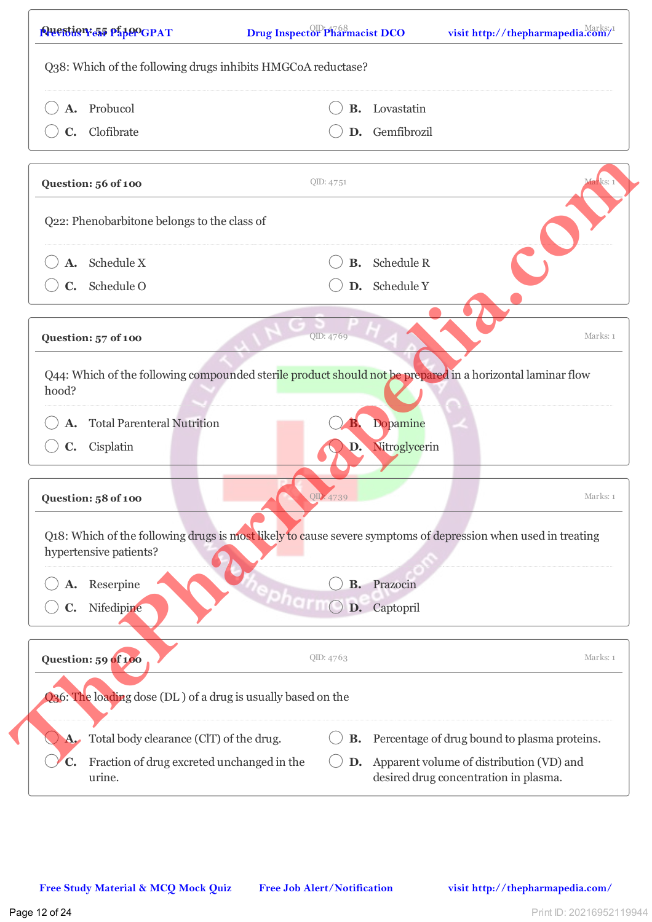| A. Probucol                                                                                                                             | В.        | Lovastatin                                                                        |           |
|-----------------------------------------------------------------------------------------------------------------------------------------|-----------|-----------------------------------------------------------------------------------|-----------|
| C. Clofibrate                                                                                                                           |           | D. Gemfibrozil                                                                    |           |
|                                                                                                                                         |           |                                                                                   |           |
| Question: 56 of 100                                                                                                                     | QID: 4751 |                                                                                   | viarks: 1 |
| Q22: Phenobarbitone belongs to the class of                                                                                             |           |                                                                                   |           |
| A. Schedule X                                                                                                                           |           | <b>B.</b> Schedule R                                                              |           |
| $C.$ Schedule O                                                                                                                         |           | D. Schedule Y                                                                     |           |
| Question: 57 of 100                                                                                                                     | QID: 4769 |                                                                                   | Marks: 1  |
| Q44: Which of the following compounded sterile product should not be prepared in a horizontal laminar flow<br>hood?                     |           |                                                                                   |           |
| <b>Total Parenteral Nutrition</b>                                                                                                       |           | <b>Dopamine</b>                                                                   |           |
| C. Cisplatin                                                                                                                            | D.        | Nitroglycerin                                                                     |           |
| Question: 58 of 100                                                                                                                     | QID: 4739 |                                                                                   | Marks: 1  |
| Q18: Which of the following drugs is most likely to cause severe symptoms of depression when used in treating<br>hypertensive patients? |           |                                                                                   |           |
| Reserpine                                                                                                                               | В.        | Prazocin                                                                          |           |
| Nifedipine                                                                                                                              | D.        | Captopril                                                                         |           |
| Question: 59 of 100                                                                                                                     | QID: 4763 |                                                                                   | Marks: 1  |
| Q36: The loading dose (DL) of a drug is usually based on the                                                                            |           |                                                                                   |           |
| Total body clearance (ClT) of the drug.                                                                                                 | В.        | Percentage of drug bound to plasma proteins.                                      |           |
| Fraction of drug excreted unchanged in the<br>C.<br>urine.                                                                              | D.        | Apparent volume of distribution (VD) and<br>desired drug concentration in plasma. |           |
|                                                                                                                                         |           |                                                                                   |           |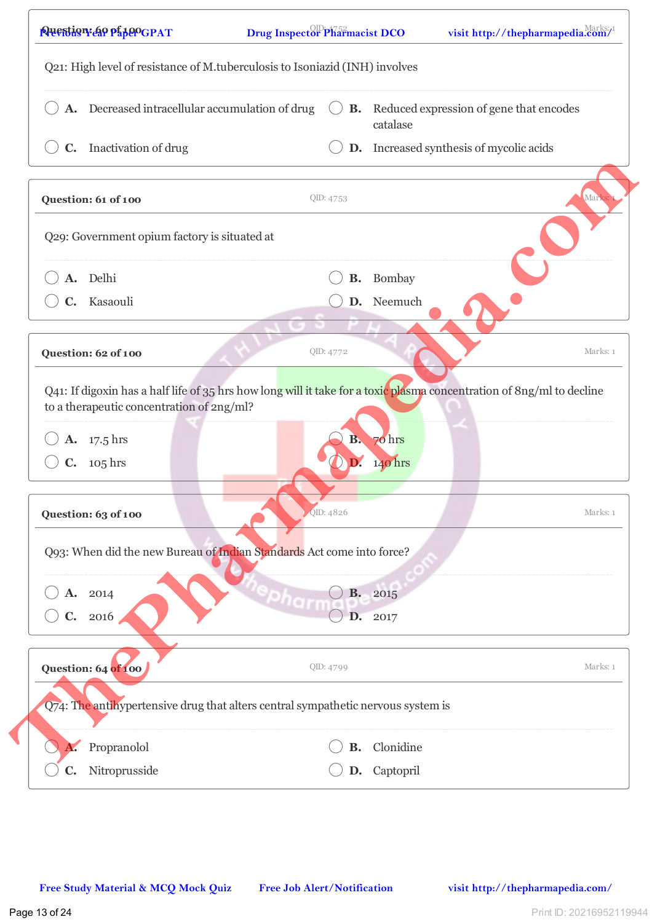| C. Inactivation of drug<br>Question: 61 of 100                                                                                                                     |                        | catalase<br>D. Increased synthesis of mycolic acids |          |
|--------------------------------------------------------------------------------------------------------------------------------------------------------------------|------------------------|-----------------------------------------------------|----------|
|                                                                                                                                                                    |                        |                                                     |          |
|                                                                                                                                                                    | QID: 4753              |                                                     | Mark     |
| Q29: Government opium factory is situated at                                                                                                                       |                        |                                                     |          |
| A. Delhi                                                                                                                                                           | В.                     | Bombay                                              |          |
| C. Kasaouli                                                                                                                                                        |                        | D. Neemuch                                          |          |
| Question: 62 of 100                                                                                                                                                | QID: 4772              |                                                     | Marks: 1 |
| Q41: If digoxin has a half life of 35 hrs how long will it take for a toxic plasma concentration of 8ng/ml to decline<br>to a therapeutic concentration of 2ng/ml? |                        |                                                     |          |
| <b>A.</b> 17.5 hrs                                                                                                                                                 | $\mathbf{B}_{\bullet}$ | 70 hrs                                              |          |
| $C. 105$ hrs                                                                                                                                                       |                        | 140 hrs                                             |          |
| Question: 63 of 100                                                                                                                                                | QID: 4826              |                                                     | Marks: 1 |
| Q93: When did the new Bureau of Indian Standards Act come into force?                                                                                              |                        |                                                     |          |
| A. 2014                                                                                                                                                            | <b>B.</b>              | 2015                                                |          |
| $\mathbf{C}$ .<br>2016                                                                                                                                             | D.                     | 2017                                                |          |
| Question: 64 of 100                                                                                                                                                | QID: 4799              |                                                     | Marks: 1 |
| Q74: The antihypertensive drug that alters central sympathetic nervous system is                                                                                   |                        |                                                     |          |
|                                                                                                                                                                    |                        |                                                     |          |
| Propranolol                                                                                                                                                        | В.                     | Clonidine                                           |          |
|                                                                                                                                                                    |                        |                                                     |          |

 $\sqrt{ }$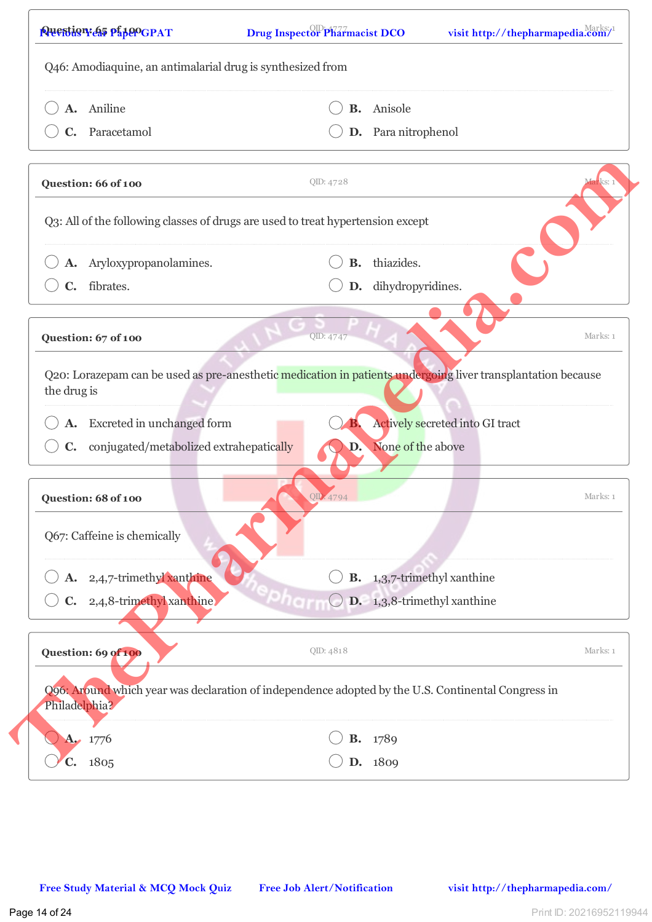| A. Aniline                                                                                                                  |           | <b>B.</b> Anisole                  |                        |
|-----------------------------------------------------------------------------------------------------------------------------|-----------|------------------------------------|------------------------|
| C. Paracetamol                                                                                                              |           | D. Para nitrophenol                |                        |
|                                                                                                                             |           |                                    |                        |
| Question: 66 of 100                                                                                                         | QID: 4728 |                                    | <mark>far</mark> ks: 1 |
| Q3: All of the following classes of drugs are used to treat hypertension except                                             |           |                                    |                        |
| A. Aryloxypropanolamines.                                                                                                   |           | B. thiazides.                      |                        |
| C. fibrates.                                                                                                                |           | D. dihydropyridines.               |                        |
| Question: 67 of 100                                                                                                         | QID: 4747 |                                    | Marks: 1               |
| Q20: Lorazepam can be used as pre-anesthetic medication in patients undergoing liver transplantation because<br>the drug is |           |                                    |                        |
| A. Excreted in unchanged form                                                                                               |           | Actively secreted into GI tract    |                        |
| conjugated/metabolized extrahepatically<br>$\mathbf{C}$ .                                                                   | D.        | None of the above                  |                        |
| Question: 68 of 100                                                                                                         | QID: 4794 |                                    | Marks: 1               |
| Q67: Caffeine is chemically                                                                                                 |           |                                    |                        |
| A. 2,4,7-trimethyl xanthine                                                                                                 |           | <b>B.</b> 1,3,7-trimethyl xanthine |                        |
| 2,4,8-trimethyl xanthine<br>$\mathbf{C}$ .                                                                                  |           | D. 1,3,8-trimethyl xanthine        |                        |
| Question: 69 of 100                                                                                                         | QID: 4818 |                                    | Marks: 1               |
| Q96: Around which year was declaration of independence adopted by the U.S. Continental Congress in<br>Philadelphia?         |           |                                    |                        |
| <b>A.</b> $1776$                                                                                                            |           | <b>B.</b> 1789                     |                        |
|                                                                                                                             |           | D. 1809                            |                        |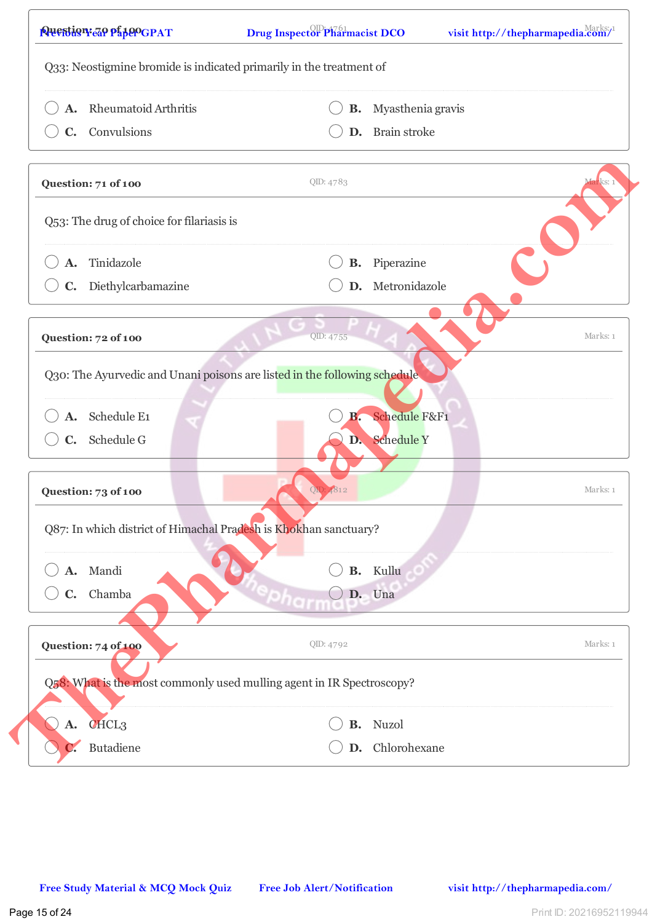| Rheumatoid Arthritis<br>А.                                                | В.        | Myasthenia gravis |          |
|---------------------------------------------------------------------------|-----------|-------------------|----------|
| C. Convulsions                                                            |           | D. Brain stroke   |          |
| Question: 71 of 100                                                       | QID: 4783 |                   | Marks: 1 |
| Q53: The drug of choice for filariasis is                                 |           |                   |          |
| Tinidazole<br>A.                                                          | В.        | Piperazine        |          |
| Diethylcarbamazine<br>$\mathbf{C}$ .                                      | D.        | Metronidazole     |          |
| Question: 72 of 100                                                       | QID: 4755 |                   | Marks: 1 |
| Q30: The Ayurvedic and Unani poisons are listed in the following schedule |           |                   |          |
| Schedule E1                                                               | <b>B.</b> | Schedule F&F1     |          |
| C. Schedule G                                                             |           | D. Schedule Y     |          |
| Question: 73 of 100                                                       | QD: 4812  |                   | Marks: 1 |
| Q87: In which district of Himachal Pradesh is Khokhan sanctuary?          |           |                   |          |
| A. Mandi                                                                  |           | <b>B.</b> Kullu   |          |
| C. Chamba                                                                 |           | D. Una            |          |
| Question: 74 of 100                                                       | QID: 4792 |                   | Marks: 1 |
| Q58: What is the most commonly used mulling agent in IR Spectroscopy?     |           |                   |          |
| CHCL <sub>3</sub><br><b>A.</b>                                            |           | <b>B.</b> Nuzol   |          |
| Butadiene                                                                 |           | D. Chlorohexane   |          |
|                                                                           |           |                   |          |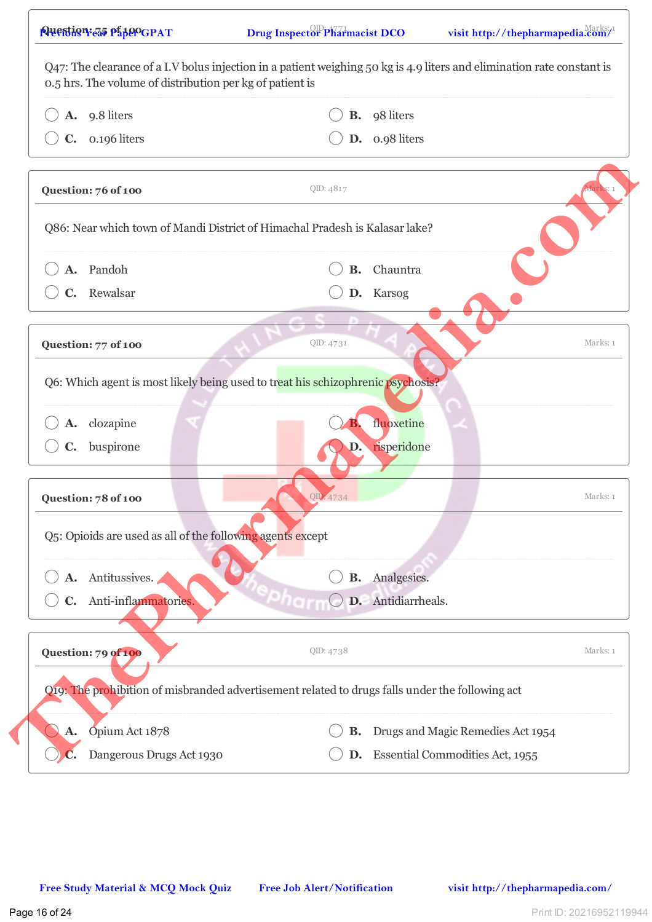| A. 9.8 liters                                                                                   |           | <b>B.</b> 98 liters                    |          |
|-------------------------------------------------------------------------------------------------|-----------|----------------------------------------|----------|
| $C.$ 0.196 liters                                                                               |           | D. 0.98 liters                         |          |
| Question: 76 of 100                                                                             | QID: 4817 |                                        | warks:   |
| Q86: Near which town of Mandi District of Himachal Pradesh is Kalasar lake?                     |           |                                        |          |
| A. Pandoh                                                                                       |           | <b>B.</b> Chauntra                     |          |
| C. Rewalsar                                                                                     |           | D. Karsog                              |          |
| Question: 77 of 100                                                                             | QID: 4731 |                                        | Marks: 1 |
| Q6: Which agent is most likely being used to treat his schizophrenic psychosis?                 |           |                                        |          |
| A. clozapine                                                                                    |           | fluoxetine                             |          |
| buspirone<br>$\mathbf{C}$ .                                                                     | D.        | risperidone                            |          |
| Question: 78 of 100                                                                             | QID: 4734 |                                        | Marks: 1 |
| Q5: Opioids are used as all of the following agents except                                      |           |                                        |          |
| A. Antitussives.                                                                                | В.        | Analgesics.                            |          |
| Anti-inflammatories.<br>C.                                                                      |           | D. Antidiarrheals.                     |          |
| Question: 79 of 100                                                                             | QID: 4738 |                                        | Marks: 1 |
| Q19: The prohibition of misbranded advertisement related to drugs falls under the following act |           |                                        |          |
| Opium Act 1878<br>А.                                                                            | <b>B.</b> | Drugs and Magic Remedies Act 1954      |          |
| Dangerous Drugs Act 1930                                                                        | D.        | <b>Essential Commodities Act, 1955</b> |          |
|                                                                                                 |           |                                        |          |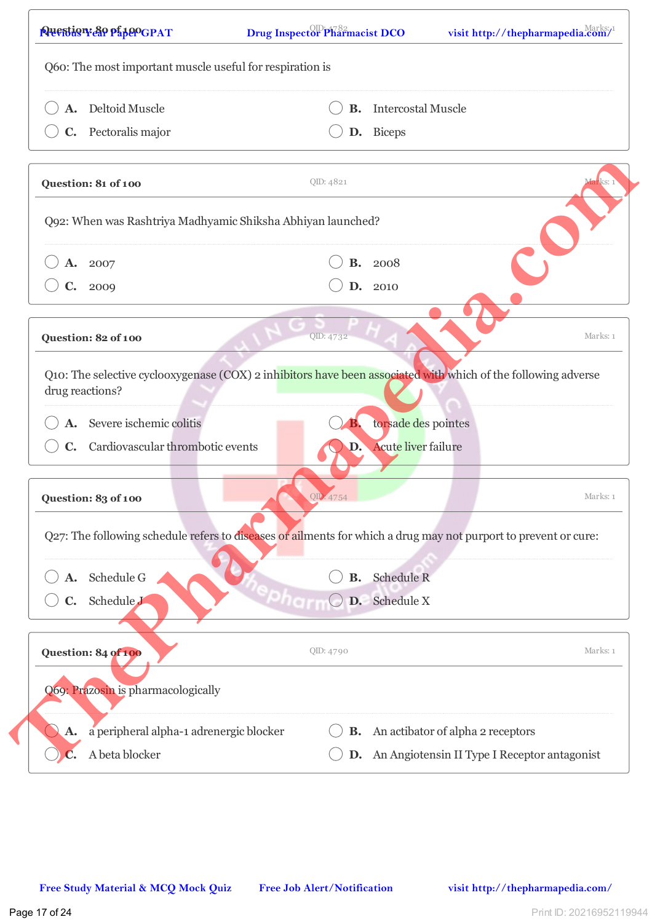| Deltoid Muscle                                                                                                                   | <b>B.</b> | <b>Intercostal Muscle</b>                    |          |
|----------------------------------------------------------------------------------------------------------------------------------|-----------|----------------------------------------------|----------|
| C. Pectoralis major                                                                                                              |           | D. Biceps                                    |          |
| Question: 81 of 100                                                                                                              | QID: 4821 |                                              | arks: :  |
| Q92: When was Rashtriya Madhyamic Shiksha Abhiyan launched?                                                                      |           |                                              |          |
| A. 2007                                                                                                                          |           | <b>B.</b> 2008                               |          |
| C. 2009                                                                                                                          | D.        | 2010                                         |          |
| Question: 82 of 100                                                                                                              | QID: 4732 |                                              | Marks: 1 |
| Q10: The selective cyclooxygenase (COX) 2 inhibitors have been associated with which of the following adverse<br>drug reactions? |           |                                              |          |
| A. Severe ischemic colitis                                                                                                       | в.        | torsade des pointes                          |          |
| C. Cardiovascular thrombotic events                                                                                              | D.        | Acute liver failure                          |          |
| Question: 83 of 100                                                                                                              | QID: 4754 |                                              | Marks: 1 |
| Q27: The following schedule refers to diseases or ailments for which a drug may not purport to prevent or cure:                  |           |                                              |          |
| A. Schedule G                                                                                                                    | <b>B.</b> | Schedule R                                   |          |
| Schedule J<br>C.                                                                                                                 |           | D. Schedule X                                |          |
| Question: 84 of 100                                                                                                              | QID: 4790 |                                              | Marks: 1 |
| Q69: Prazosin is pharmacologically                                                                                               |           |                                              |          |
| a peripheral alpha-1 adrenergic blocker<br>A.                                                                                    | В.        | An actibator of alpha 2 receptors            |          |
|                                                                                                                                  | D.        | An Angiotensin II Type I Receptor antagonist |          |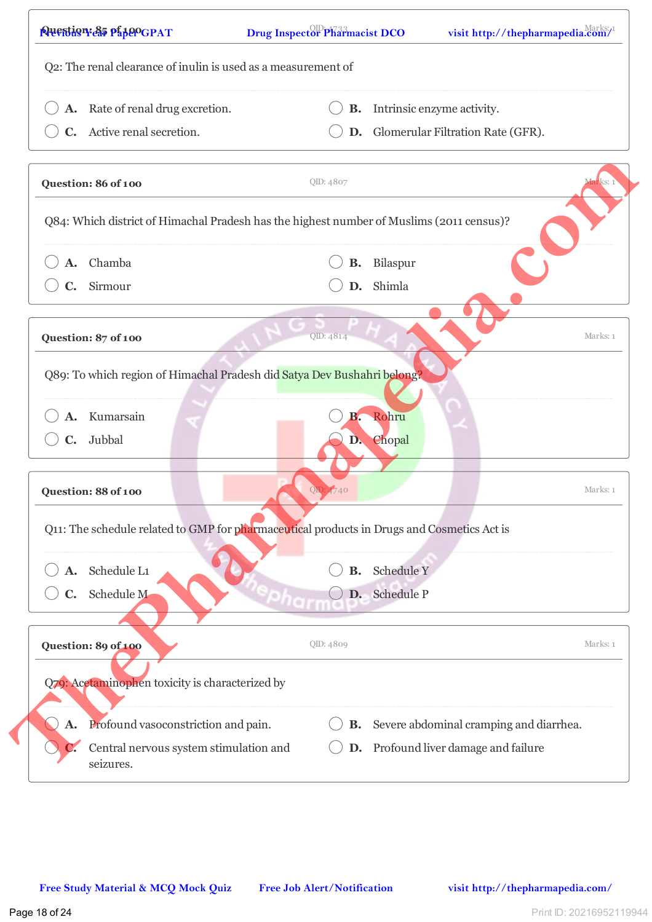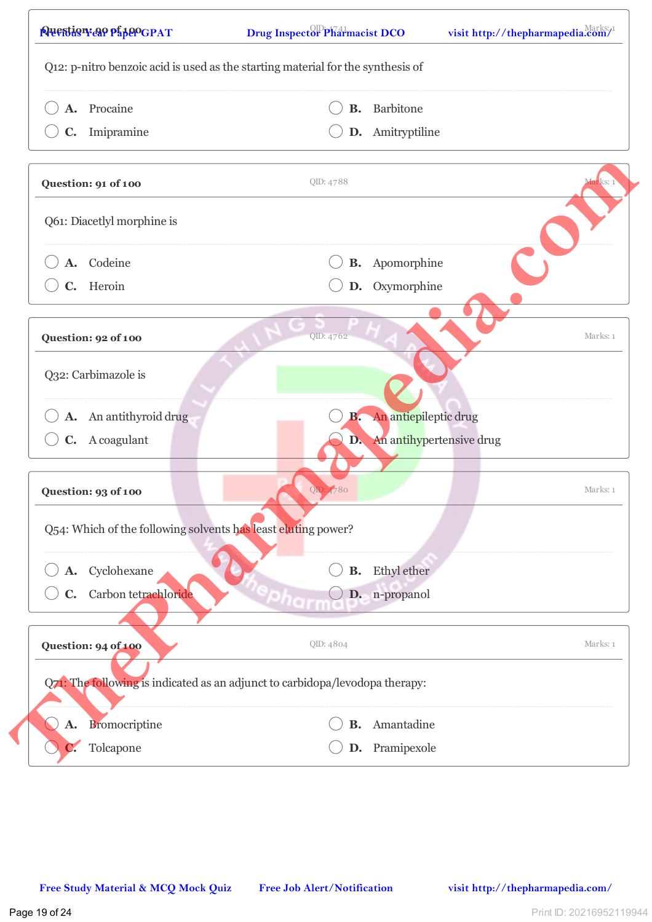| A. Procaine                                                                  | В.        | Barbitone                   |                        |
|------------------------------------------------------------------------------|-----------|-----------------------------|------------------------|
| Imipramine<br>$\mathbf{C}$ .                                                 |           | D. Amitryptiline            |                        |
| Question: 91 of 100                                                          | QID: 4788 |                             | <mark>far</mark> ks: 1 |
| Q61: Diacetlyl morphine is                                                   |           |                             |                        |
| A. Codeine                                                                   |           | <b>B.</b> Apomorphine       |                        |
| C. Heroin                                                                    |           | D. Oxymorphine              |                        |
| Question: 92 of 100                                                          | QID: 4762 |                             | Marks: 1               |
| Q32: Carbimazole is                                                          |           |                             |                        |
| A. An antithyroid drug                                                       | B.        | An antiepileptic drug       |                        |
| C. A coagulant                                                               |           | D. An antihypertensive drug |                        |
| Question: 93 of 100                                                          | OD:       |                             | Marks: 1               |
| Q54: Which of the following solvents has least eluting power?                |           |                             |                        |
| Cyclohexane<br>A.                                                            | <b>B.</b> | Ethyl ether                 |                        |
| Carbon tetrachloride<br>$\mathbf{C}$ .                                       |           | D. n-propanol               |                        |
| Question: 94 of 100                                                          | QID: 4804 |                             | Marks: 1               |
| Q71: The following is indicated as an adjunct to carbidopa/levodopa therapy: |           |                             |                        |
| <b>Bromocriptine</b><br><b>A.</b>                                            | В.        | Amantadine                  |                        |
| Tolcapone                                                                    | D.        | Pramipexole                 |                        |
|                                                                              |           |                             |                        |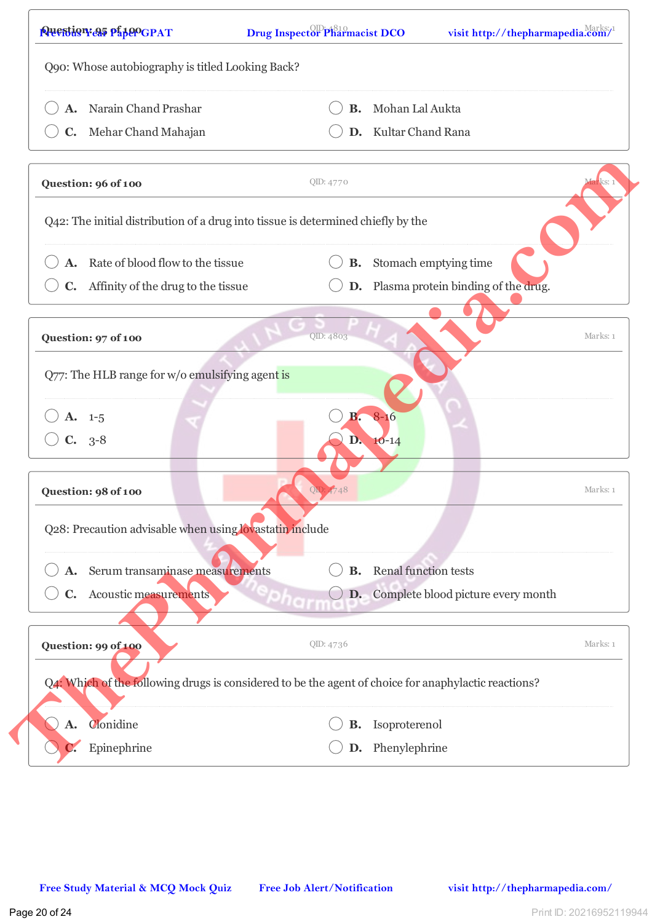| Narain Chand Prashar<br>А.                                                                           | <b>B.</b>             | Mohan Lal Aukta                        |          |
|------------------------------------------------------------------------------------------------------|-----------------------|----------------------------------------|----------|
| C. Mehar Chand Mahajan                                                                               |                       | D. Kultar Chand Rana                   |          |
|                                                                                                      |                       |                                        |          |
| Question: 96 of 100                                                                                  | QID: 4770             |                                        | larks: 1 |
| Q42: The initial distribution of a drug into tissue is determined chiefly by the                     |                       |                                        |          |
| Rate of blood flow to the tissue                                                                     |                       | <b>B.</b> Stomach emptying time        |          |
| C. Affinity of the drug to the tissue                                                                |                       | D. Plasma protein binding of the drug. |          |
| Question: 97 of 100                                                                                  | QID: 4803             |                                        | Marks: 1 |
|                                                                                                      |                       |                                        |          |
| Q77: The HLB range for w/o emulsifying agent is                                                      |                       |                                        |          |
| $A. 1-5$                                                                                             | <b>B.</b>             | $8 - 16$                               |          |
| $C. 3-8$                                                                                             |                       | D. 10-14                               |          |
|                                                                                                      |                       |                                        |          |
| Question: 98 of 100                                                                                  | $\overline{\text{O}}$ |                                        | Marks: 1 |
| Q28: Precaution advisable when using lovastatin include                                              |                       |                                        |          |
| Serum transaminase measurements                                                                      | В.                    | Renal function tests                   |          |
| Acoustic measurements<br>$\mathbf{C}$ .                                                              | D.                    | Complete blood picture every month     |          |
| Question: 99 of 100                                                                                  | QID: 4736             |                                        | Marks: 1 |
| Q4: Which of the following drugs is considered to be the agent of choice for anaphylactic reactions? |                       |                                        |          |
| Clonidine<br>A.                                                                                      | В.                    | Isoproterenol                          |          |
| Epinephrine                                                                                          |                       | D. Phenylephrine                       |          |
|                                                                                                      |                       |                                        |          |
|                                                                                                      |                       |                                        |          |
|                                                                                                      |                       |                                        |          |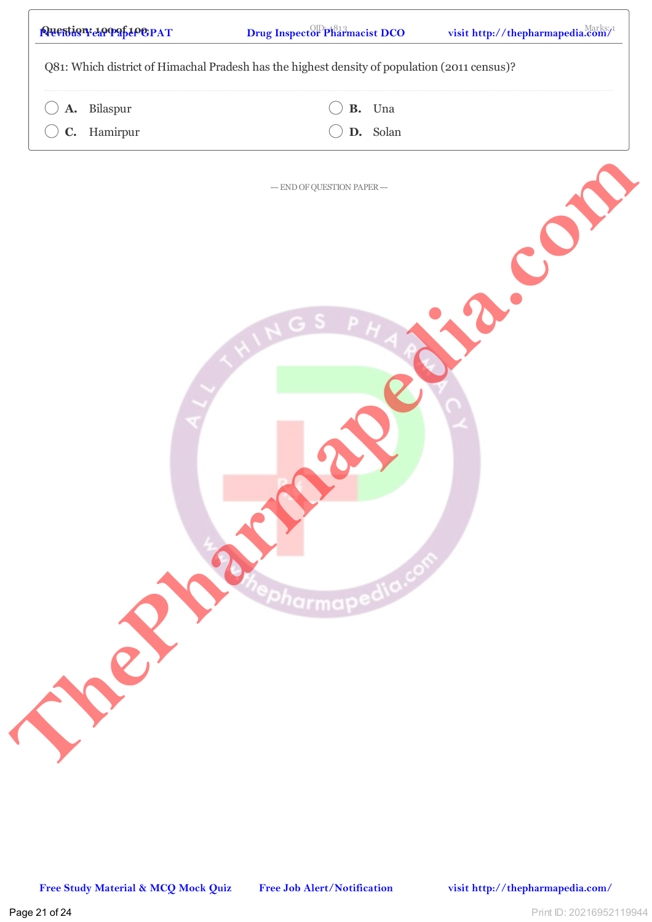|                |          | Q81: Which district of Himachal Pradesh has the highest density of population (2011 census)? |
|----------------|----------|----------------------------------------------------------------------------------------------|
| ${\bf A}$ .    | Bilaspur | B. Una                                                                                       |
| $\mathbf{C}$ . | Hamirpur | D. Solan                                                                                     |
|                |          | $-$ END OF QUESTION PAPER $-$                                                                |
|                |          |                                                                                              |
|                |          | <b>apedia</b>                                                                                |
|                |          |                                                                                              |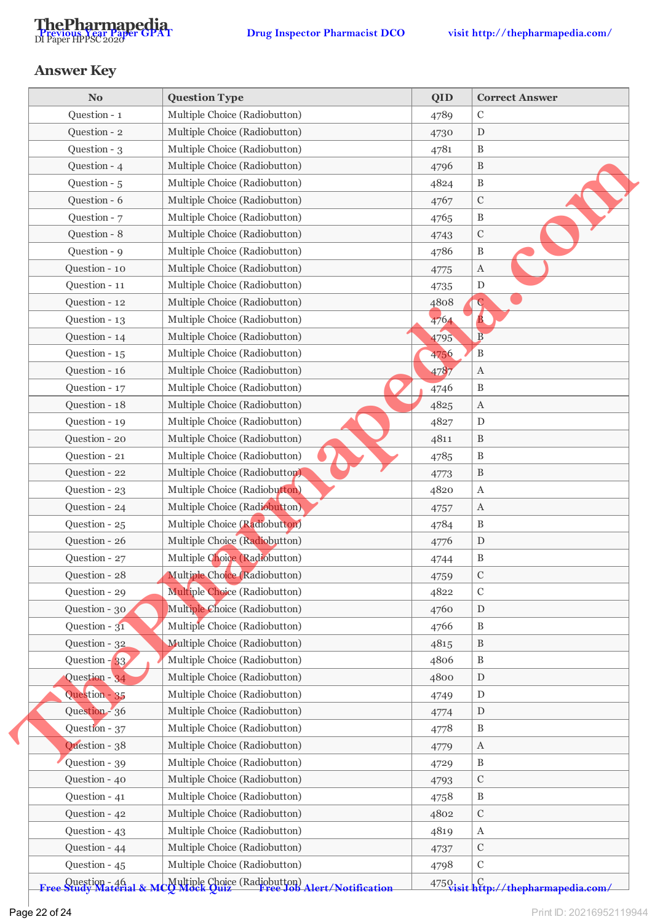

## **Answer Key**

| <b>No</b>                                 | <b>Question Type</b>                                                      | <b>QID</b> | <b>Correct Answer</b>                 |
|-------------------------------------------|---------------------------------------------------------------------------|------------|---------------------------------------|
| Question - 1                              | Multiple Choice (Radiobutton)                                             | 4789       | $\mathcal{C}$                         |
| Question - 2                              | Multiple Choice (Radiobutton)                                             | 4730       | ${\rm D}$                             |
| Question - 3                              | Multiple Choice (Radiobutton)                                             | 4781       | $\, {\bf B}$                          |
| Question - 4                              | Multiple Choice (Radiobutton)                                             | 4796       | $\, {\bf B}$                          |
| Question - 5                              | Multiple Choice (Radiobutton)                                             | 4824       | $\, {\bf B}$                          |
| Question - 6                              | Multiple Choice (Radiobutton)                                             | 4767       | $\mathbf C$                           |
| Question - 7                              | Multiple Choice (Radiobutton)                                             | 4765       | $\, {\bf B}$                          |
| Question - 8                              | Multiple Choice (Radiobutton)                                             | 4743       | $\mathbf C$                           |
| Question - 9                              | Multiple Choice (Radiobutton)                                             | 4786       | $\mathbf B$                           |
| Question - 10                             | Multiple Choice (Radiobutton)                                             | 4775       | $\rm A$                               |
| Question - 11                             | Multiple Choice (Radiobutton)                                             | 4735       | $\mathbf D$                           |
| Question - 12                             | Multiple Choice (Radiobutton)                                             | 4808       | $\mathbf C$                           |
| Question - 13                             | Multiple Choice (Radiobutton)                                             | 4764       | $\mathbf{B}$                          |
| Question - 14                             | Multiple Choice (Radiobutton)                                             | 4795       | $\overline{B}$                        |
| Question - 15                             | Multiple Choice (Radiobutton)                                             | 4756       | $\, {\bf B}$                          |
| Question - 16                             | Multiple Choice (Radiobutton)                                             | 4787       | $\boldsymbol{A}$                      |
| Question - 17                             | Multiple Choice (Radiobutton)                                             | 4746       | $\mathbf B$                           |
| Question - 18                             | Multiple Choice (Radiobutton)                                             | 4825       | $\mathbf A$                           |
| Question - 19                             | Multiple Choice (Radiobutton)                                             | 4827       | ${\rm D}$                             |
| Question - 20                             | Multiple Choice (Radiobutton)                                             | 4811       | B                                     |
| Question - 21                             | Multiple Choice (Radiobutton)                                             | 4785       | $\, {\bf B}$                          |
| Question - 22                             | Multiple Choice (Radiobutton)                                             | 4773       | $\, {\bf B}$                          |
| Question - 23                             | Multiple Choice (Radiobutton)                                             | 4820       | A                                     |
| Question - 24                             | Multiple Choice (Radiobutton)                                             | 4757       | $\boldsymbol{A}$                      |
| Question - 25                             | Multiple Choice (Radiobutton)                                             | 4784       | B                                     |
| Question - 26                             | Multiple Choice (Radiobutton)                                             | 4776       | D                                     |
| Question - 27                             | Multiple Choice (Radiobutton)                                             | 4744       | $\, {\bf B}$                          |
| Question - 28                             | Multiple Choice (Radiobutton)                                             | 4759       | $\mathbf C$                           |
| Question - 29                             | Multiple Choice (Radiobutton)                                             | 4822       | $\mathbf C$                           |
| Question - 30                             | Multiple Choice (Radiobutton)                                             | 4760       | ${\rm D}$                             |
| Question - $31$                           | Multiple Choice (Radiobutton)                                             | 4766       | B                                     |
| Question - 32                             | Multiple Choice (Radiobutton)                                             | 4815       | B                                     |
| Question $-33$                            | Multiple Choice (Radiobutton)                                             | 4806       | B                                     |
| Question - 34                             | Multiple Choice (Radiobutton)                                             | 4800       | ${\rm D}$                             |
| Question - 35                             | Multiple Choice (Radiobutton)                                             | 4749       | D                                     |
| Question - 36                             | Multiple Choice (Radiobutton)                                             | 4774       | $\mathbf D$                           |
| Question - 37                             | Multiple Choice (Radiobutton)                                             | 4778       | B                                     |
| Question - 38                             | Multiple Choice (Radiobutton)                                             | 4779       | A                                     |
| Question - 39                             | Multiple Choice (Radiobutton)                                             | 4729       | $\mathbf B$                           |
| Question - 40                             | Multiple Choice (Radiobutton)                                             | 4793       | $\mathbf C$                           |
| Question - 41                             | Multiple Choice (Radiobutton)                                             | 4758       | B                                     |
| Question - 42                             | Multiple Choice (Radiobutton)                                             | 4802       | $\mathbf C$                           |
| Question - 43                             | Multiple Choice (Radiobutton)                                             | 4819       |                                       |
| Question - 44                             | Multiple Choice (Radiobutton)                                             |            | A<br>$\mathbf C$                      |
|                                           |                                                                           | 4737       |                                       |
| Question - 45                             | Multiple Choice (Radiobutton)                                             | 4798       | С                                     |
| Question - 46<br>Free Study Material & Me | Multiple Choice (Radiobutton)<br>20 Mock Ouiz Free Job Alert/Notification |            | 4750 visit http://thepharmapedia.com/ |

Free Study Material & MCQ Mock Quiz Free Job Alert/Notification 4750 visit http://thepharmapedia.com/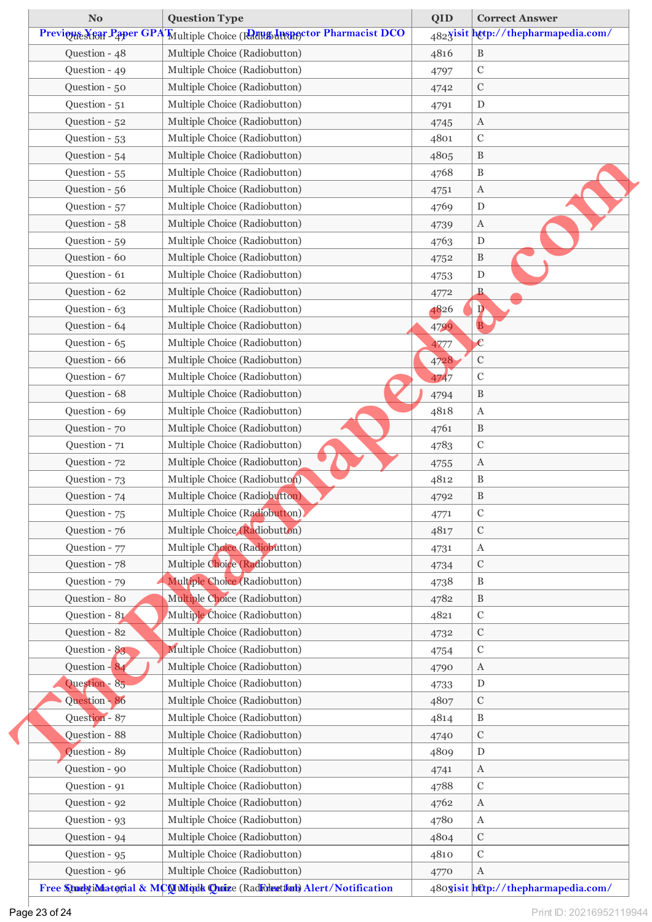| <b>No</b>     | <b>Question Type</b>                                                         | QID          | <b>Correct Answer</b>               |
|---------------|------------------------------------------------------------------------------|--------------|-------------------------------------|
|               | Previeus Kear Paper GPA Multiple Choice (Rath Linearctor Pharmacist DCO      |              | 4823isit http://thepharmapedia.com/ |
| Question - 48 | Multiple Choice (Radiobutton)                                                | 4816         | $\, {\bf B}$                        |
| Question - 49 | Multiple Choice (Radiobutton)                                                | 4797         | $\mathcal C$                        |
| Question - 50 | Multiple Choice (Radiobutton)                                                | 4742         | $\mathbf C$                         |
| Question - 51 | Multiple Choice (Radiobutton)                                                | 4791         | ${\rm D}$                           |
| Question - 52 | Multiple Choice (Radiobutton)                                                | 4745         | $\boldsymbol{A}$                    |
| Question - 53 | Multiple Choice (Radiobutton)                                                | 4801         | $\mathbf C$                         |
| Question - 54 | Multiple Choice (Radiobutton)                                                | 4805         | $\, {\bf B}$                        |
| Question - 55 | Multiple Choice (Radiobutton)                                                | 4768         | $\, {\bf B}$                        |
| Question - 56 | Multiple Choice (Radiobutton)                                                | 4751         | $\boldsymbol{A}$                    |
| Question - 57 | Multiple Choice (Radiobutton)                                                | 4769         | D                                   |
| Question - 58 | Multiple Choice (Radiobutton)                                                | 4739         | $\boldsymbol{A}$                    |
| Question - 59 | Multiple Choice (Radiobutton)                                                | 4763         | D                                   |
| Question - 60 | Multiple Choice (Radiobutton)                                                | 4752         | $\, {\bf B}$                        |
| Question - 61 | Multiple Choice (Radiobutton)                                                | 4753         | ${\rm D}$                           |
| Question - 62 | Multiple Choice (Radiobutton)                                                | 4772         | B.                                  |
| Question - 63 | Multiple Choice (Radiobutton)                                                | 4826         | $\overline{\mathbf{p}}$             |
| Question - 64 | Multiple Choice (Radiobutton)                                                | 4799         | $\overline{B}$                      |
| Question - 65 | Multiple Choice (Radiobutton)                                                |              | $\mathbf c$                         |
| Question - 66 | Multiple Choice (Radiobutton)                                                | 4777<br>4728 | $\mathbf C$                         |
| Question - 67 | Multiple Choice (Radiobutton)                                                | 4747         | $\mathcal{C}$                       |
| Question - 68 | Multiple Choice (Radiobutton)                                                |              | $\, {\bf B}$                        |
| Question - 69 | Multiple Choice (Radiobutton)                                                | 4794<br>4818 | $\boldsymbol{A}$                    |
| Question - 70 | Multiple Choice (Radiobutton)                                                |              | $\, {\bf B}$                        |
| Question - 71 | Multiple Choice (Radiobutton)                                                | 4761         | $\mathbf C$                         |
|               |                                                                              | 4783         |                                     |
| Question - 72 | Multiple Choice (Radiobutton)                                                | 4755         | $\boldsymbol{A}$                    |
| Question - 73 | Multiple Choice (Radiobutton)                                                | 4812         | $\mathbf B$                         |
| Question - 74 | Multiple Choice (Radiobutton)                                                | 4792         | B                                   |
| Question - 75 | Multiple Choice (Radiobutton)                                                | 4771         | $\mathbf C$                         |
| Question - 76 | Multiple Choice (Radiobutton)                                                | 4817         | $\mathbf C$                         |
| Question - 77 | Multiple Choice (Radiobutton)                                                | 4731         | A                                   |
| Question - 78 | Multiple Choice (Radiobutton)                                                | 4734         | $\mathcal{C}$                       |
| Question - 79 | Multiple Choice (Radiobutton)                                                | 4738         | B                                   |
| Question - 80 | Multiple Choice (Radiobutton)                                                | 4782         | $\, {\bf B}$                        |
| Question - 81 | Multiple Choice (Radiobutton)                                                | 4821         | $\mathbf C$                         |
| Question - 82 | Multiple Choice (Radiobutton)                                                | 4732         | С                                   |
| Question - 83 | Multiple Choice (Radiobutton)                                                | 4754         | $\mathcal{C}$                       |
| Question - 84 | Multiple Choice (Radiobutton)                                                | 4790         | A                                   |
| Question - 85 | Multiple Choice (Radiobutton)                                                | 4733         | ${\rm D}$                           |
| Question - 86 | Multiple Choice (Radiobutton)                                                | 4807         | $\mathbf C$                         |
| Question - 87 | Multiple Choice (Radiobutton)                                                | 4814         | $\, {\bf B}$                        |
| Question - 88 | Multiple Choice (Radiobutton)                                                | 4740         | $\mathbf C$                         |
| Question - 89 | Multiple Choice (Radiobutton)                                                | 4809         | D                                   |
| Question - 90 | Multiple Choice (Radiobutton)                                                | 4741         | $\boldsymbol{A}$                    |
| Question - 91 | Multiple Choice (Radiobutton)                                                | 4788         | $\mathcal{C}$                       |
| Question - 92 | Multiple Choice (Radiobutton)                                                | 4762         | $\mathbf A$                         |
| Question - 93 | Multiple Choice (Radiobutton)                                                | 4780         | $\boldsymbol{A}$                    |
| Question - 94 | Multiple Choice (Radiobutton)                                                | 4804         | $\mathbf C$                         |
| Question - 95 | Multiple Choice (Radiobutton)                                                | 4810         | $\mathcal{C}$                       |
| Question - 96 | Multiple Choice (Radiobutton)                                                | 4770         | $\boldsymbol{A}$                    |
|               | Free Stucktionatorial & MCO Minds Choice (Radfolert fort) Alert/Notification |              | 480gisit http://thepharmapedia.com/ |